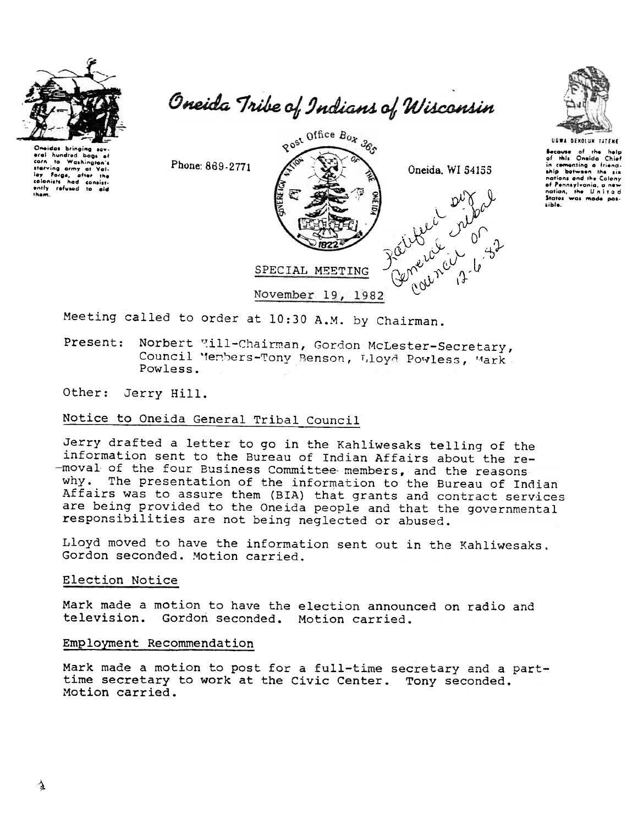

Oneida Tribe of Indians of Wisconsin





Because of the help<br>of this Oneida Chief

in comenting a friend-

ship botween the six nations and the Colony<br>of Pennsylvania, a new nation, the United<br>States was made pos-

sible.

eral hundred boos carn to Washington's<br>starving army of Val-<br>ley Forgs, after the watering army of Values,<br>lay Forgs, after the<br>colonists had consist-<br>ently refused to aid<br>them.

Phone: 869-2771



Meeting called to order at 10:30 A.M. by Chairman.

Norbert "ill-Chairman, Gordon McLester-Secretary, Present: Council Members-Tony Benson, Lloyd Powless, Mark Powless.

Other: Jerry Hill.

# Notice to Oneida General Tribal Council

Jerry drafted a letter to go in the Kahliwesaks telling of the information sent to the Bureau of Indian Affairs about the re--moval of the four Business Committee members, and the reasons why. The presentation of the information to the Bureau of Indian Affairs was to assure them (BIA) that grants and contract services are being provided to the Oneida people and that the governmental responsibilities are not being neglected or abused.

Lloyd moved to have the information sent out in the Kahliwesaks. Gordon seconded. Motion carried.

# Election Notice

Mark made a motion to have the election announced on radio and television. Gordon seconded. Motion carried.

#### Employment Recommendation

Mark made a motion to post for a full-time secretary and a parttime secretary to work at the Civic Center. Tony seconded. Motion carried.